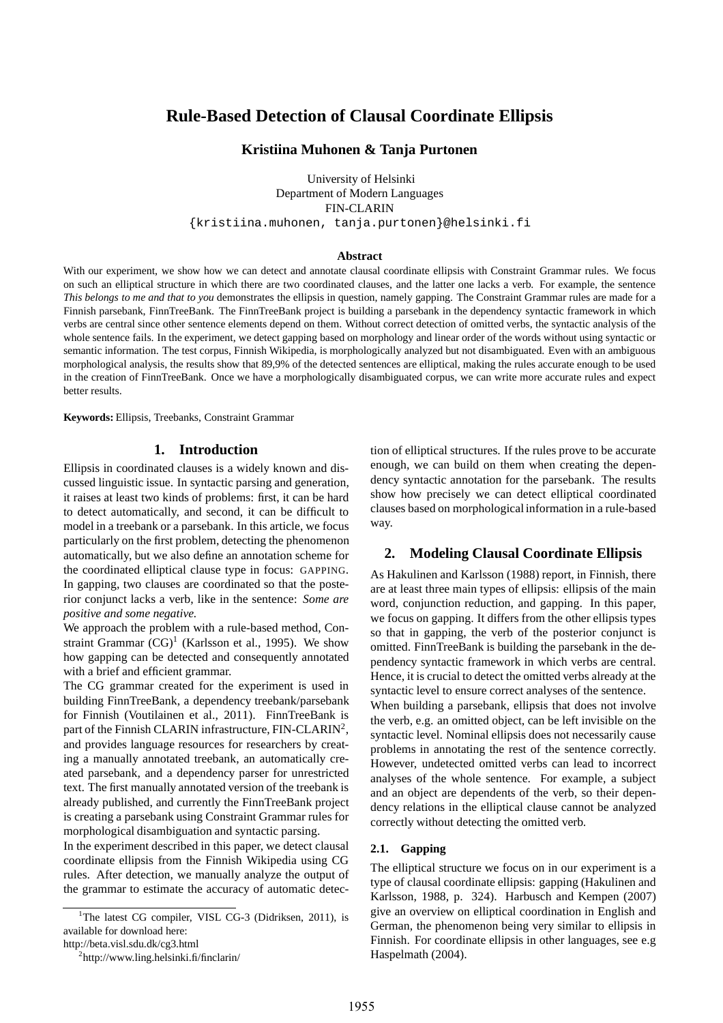# **Rule-Based Detection of Clausal Coordinate Ellipsis**

### **Kristiina Muhonen & Tanja Purtonen**

University of Helsinki Department of Modern Languages FIN-CLARIN {kristiina.muhonen, tanja.purtonen}@helsinki.fi

#### **Abstract**

With our experiment, we show how we can detect and annotate clausal coordinate ellipsis with Constraint Grammar rules. We focus on such an elliptical structure in which there are two coordinated clauses, and the latter one lacks a verb. For example, the sentence *This belongs to me and that to you* demonstrates the ellipsis in question, namely gapping. The Constraint Grammar rules are made for a Finnish parsebank, FinnTreeBank. The FinnTreeBank project is building a parsebank in the dependency syntactic framework in which verbs are central since other sentence elements depend on them. Without correct detection of omitted verbs, the syntactic analysis of the whole sentence fails. In the experiment, we detect gapping based on morphology and linear order of the words without using syntactic or semantic information. The test corpus, Finnish Wikipedia, is morphologically analyzed but not disambiguated. Even with an ambiguous morphological analysis, the results show that 89,9% of the detected sentences are elliptical, making the rules accurate enough to be used in the creation of FinnTreeBank. Once we have a morphologically disambiguated corpus, we can write more accurate rules and expect better results.

**Keywords:** Ellipsis, Treebanks, Constraint Grammar

## **1. Introduction**

Ellipsis in coordinated clauses is a widely known and discussed linguistic issue. In syntactic parsing and generation, it raises at least two kinds of problems: first, it can be hard to detect automatically, and second, it can be difficult to model in a treebank or a parsebank. In this article, we focus particularly on the first problem, detecting the phenomenon automatically, but we also define an annotation scheme for the coordinated elliptical clause type in focus: GAPPING. In gapping, two clauses are coordinated so that the posterior conjunct lacks a verb, like in the sentence: *Some are positive and some negative.*

We approach the problem with a rule-based method, Constraint Grammar  $(CG)^1$  (Karlsson et al., 1995). We show how gapping can be detected and consequently annotated with a brief and efficient grammar.

The CG grammar created for the experiment is used in building FinnTreeBank, a dependency treebank/parsebank for Finnish (Voutilainen et al., 2011). FinnTreeBank is part of the Finnish CLARIN infrastructure, FIN-CLARIN<sup>2</sup>, and provides language resources for researchers by creating a manually annotated treebank, an automatically created parsebank, and a dependency parser for unrestricted text. The first manually annotated version of the treebank is already published, and currently the FinnTreeBank project is creating a parsebank using Constraint Grammar rules for morphological disambiguation and syntactic parsing.

In the experiment described in this paper, we detect clausal coordinate ellipsis from the Finnish Wikipedia using CG rules. After detection, we manually analyze the output of the grammar to estimate the accuracy of automatic detection of elliptical structures. If the rules prove to be accurate enough, we can build on them when creating the dependency syntactic annotation for the parsebank. The results show how precisely we can detect elliptical coordinated clauses based on morphological information in a rule-based way.

# **2. Modeling Clausal Coordinate Ellipsis**

As Hakulinen and Karlsson (1988) report, in Finnish, there are at least three main types of ellipsis: ellipsis of the main word, conjunction reduction, and gapping. In this paper, we focus on gapping. It differs from the other ellipsis types so that in gapping, the verb of the posterior conjunct is omitted. FinnTreeBank is building the parsebank in the dependency syntactic framework in which verbs are central. Hence, it is crucial to detect the omitted verbs already at the syntactic level to ensure correct analyses of the sentence. When building a parsebank, ellipsis that does not involve the verb, e.g. an omitted object, can be left invisible on the syntactic level. Nominal ellipsis does not necessarily cause problems in annotating the rest of the sentence correctly. However, undetected omitted verbs can lead to incorrect analyses of the whole sentence. For example, a subject and an object are dependents of the verb, so their dependency relations in the elliptical clause cannot be analyzed correctly without detecting the omitted verb.

#### **2.1. Gapping**

The elliptical structure we focus on in our experiment is a type of clausal coordinate ellipsis: gapping (Hakulinen and Karlsson, 1988, p. 324). Harbusch and Kempen (2007) give an overview on elliptical coordination in English and German, the phenomenon being very similar to ellipsis in Finnish. For coordinate ellipsis in other languages, see e.g Haspelmath (2004).

<sup>&</sup>lt;sup>1</sup>The latest CG compiler, VISL CG-3 (Didriksen, 2011), is available for download here:

http://beta.visl.sdu.dk/cg3.html

<sup>&</sup>lt;sup>2</sup>http://www.ling.helsinki.fi/finclarin/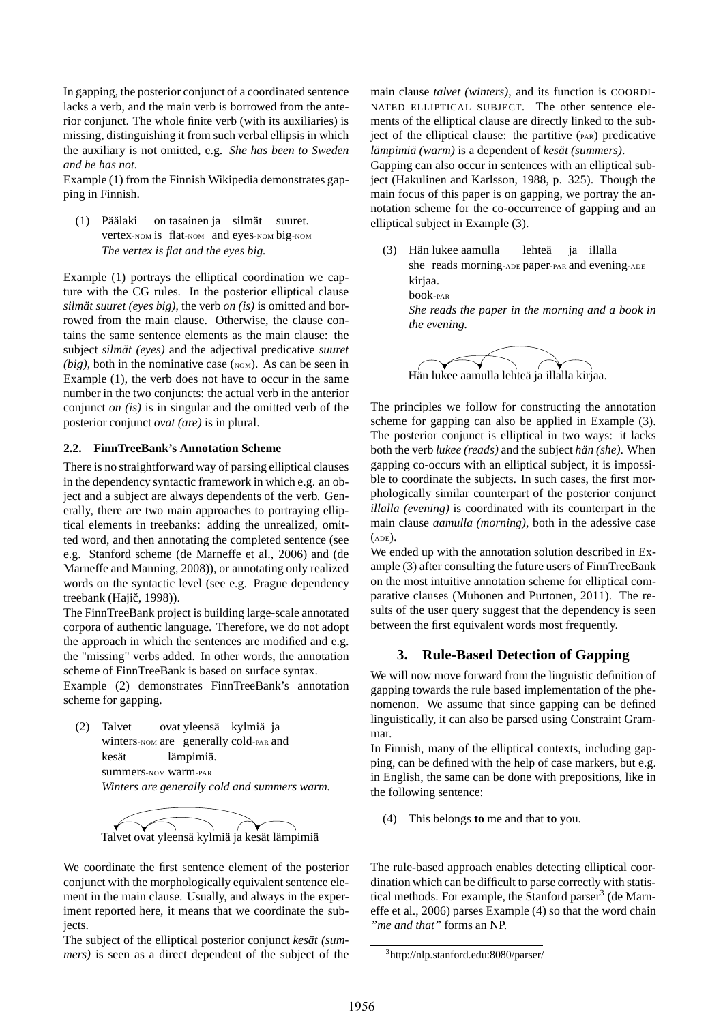In gapping, the posterior conjunct of a coordinated sentence lacks a verb, and the main verb is borrowed from the anterior conjunct. The whole finite verb (with its auxiliaries) is missing, distinguishing it from such verbal ellipsis in which the auxiliary is not omitted, e.g. *She has been to Sweden and he has not.*

Example (1) from the Finnish Wikipedia demonstrates gapping in Finnish.

(1) Päälaki vertex-NOM is flat-NOM and eyes-NOM big-NOM on tasainen ja silmät suuret. *The vertex is flat and the eyes big.*

Example (1) portrays the elliptical coordination we capture with the CG rules. In the posterior elliptical clause *silmät suuret (eyes big)*, the verb *on (is)* is omitted and borrowed from the main clause. Otherwise, the clause contains the same sentence elements as the main clause: the subject *silmät (eyes)* and the adjectival predicative *suuret*  $(big)$ , both in the nominative case  $(\text{nom})$ . As can be seen in Example (1), the verb does not have to occur in the same number in the two conjuncts: the actual verb in the anterior conjunct *on (is)* is in singular and the omitted verb of the posterior conjunct *ovat (are)* is in plural.

#### **2.2. FinnTreeBank's Annotation Scheme**

There is no straightforward way of parsing elliptical clauses in the dependency syntactic framework in which e.g. an object and a subject are always dependents of the verb. Generally, there are two main approaches to portraying elliptical elements in treebanks: adding the unrealized, omitted word, and then annotating the completed sentence (see e.g. Stanford scheme (de Marneffe et al., 2006) and (de Marneffe and Manning, 2008)), or annotating only realized words on the syntactic level (see e.g. Prague dependency treebank (Hajič, 1998)).

The FinnTreeBank project is building large-scale annotated corpora of authentic language. Therefore, we do not adopt the approach in which the sentences are modified and e.g. the "missing" verbs added. In other words, the annotation scheme of FinnTreeBank is based on surface syntax.

Example (2) demonstrates FinnTreeBank's annotation scheme for gapping.

(2) Talvet winters-NOM are generally cold-PAR and ovat yleensä kylmiä ja kesät summers-NOM warm-PAR lämpimiä. *Winters are generally cold and summers warm.*



We coordinate the first sentence element of the posterior conjunct with the morphologically equivalent sentence element in the main clause. Usually, and always in the experiment reported here, it means that we coordinate the subjects.

The subject of the elliptical posterior conjunct *kesät (summers)* is seen as a direct dependent of the subject of the

main clause *talvet (winters)*, and its function is COORDI-NATED ELLIPTICAL SUBJECT. The other sentence elements of the elliptical clause are directly linked to the subject of the elliptical clause: the partitive (PAR) predicative *lämpimiä (warm)* is a dependent of *kesät (summers)*.

Gapping can also occur in sentences with an elliptical subject (Hakulinen and Karlsson, 1988, p. 325). Though the main focus of this paper is on gapping, we portray the annotation scheme for the co-occurrence of gapping and an elliptical subject in Example (3).

(3) Hän lukee aamulla she reads morning-ADE paper-PAR and evening-ADE lehteä ja illalla kirjaa. book-PAR *She reads the paper in the morning and a book in the evening.*



The principles we follow for constructing the annotation scheme for gapping can also be applied in Example (3). The posterior conjunct is elliptical in two ways: it lacks both the verb *lukee (reads)* and the subject *hän (she)*. When gapping co-occurs with an elliptical subject, it is impossible to coordinate the subjects. In such cases, the first morphologically similar counterpart of the posterior conjunct *illalla (evening)* is coordinated with its counterpart in the main clause *aamulla (morning)*, both in the adessive case (ADE).

We ended up with the annotation solution described in Example (3) after consulting the future users of FinnTreeBank on the most intuitive annotation scheme for elliptical comparative clauses (Muhonen and Purtonen, 2011). The results of the user query suggest that the dependency is seen between the first equivalent words most frequently.

# **3. Rule-Based Detection of Gapping**

We will now move forward from the linguistic definition of gapping towards the rule based implementation of the phenomenon. We assume that since gapping can be defined linguistically, it can also be parsed using Constraint Grammar.

In Finnish, many of the elliptical contexts, including gapping, can be defined with the help of case markers, but e.g. in English, the same can be done with prepositions, like in the following sentence:

(4) This belongs **to** me and that **to** you.

The rule-based approach enables detecting elliptical coordination which can be difficult to parse correctly with statistical methods. For example, the Stanford parser<sup>3</sup> (de Marneffe et al., 2006) parses Example (4) so that the word chain *"me and that"* forms an NP.

<sup>3</sup> http://nlp.stanford.edu:8080/parser/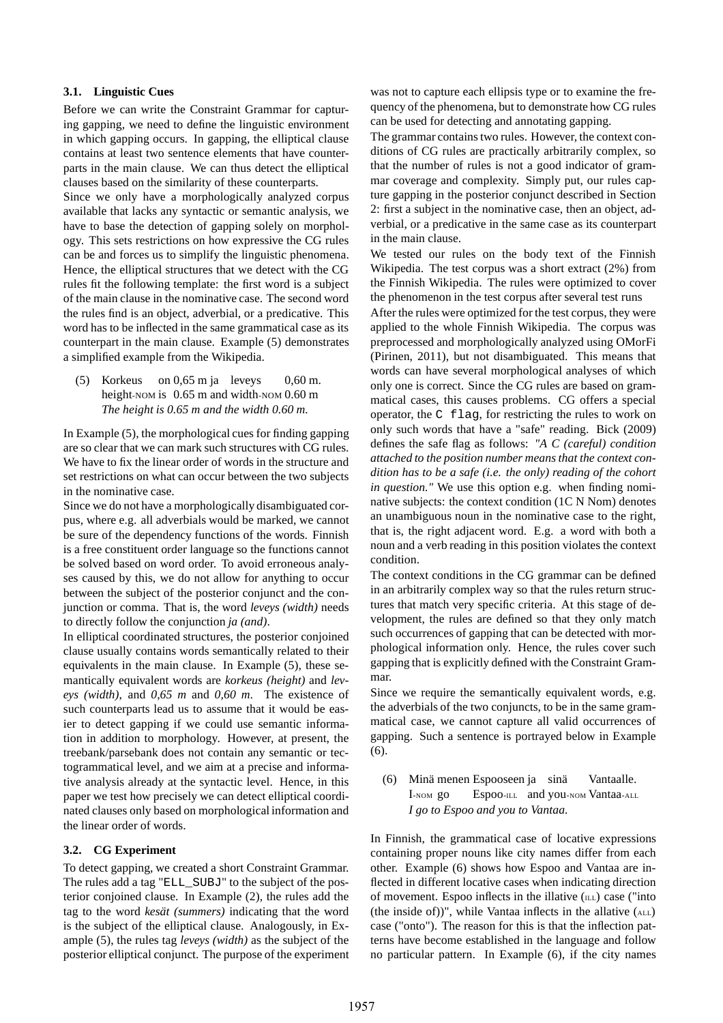### **3.1. Linguistic Cues**

Before we can write the Constraint Grammar for capturing gapping, we need to define the linguistic environment in which gapping occurs. In gapping, the elliptical clause contains at least two sentence elements that have counterparts in the main clause. We can thus detect the elliptical clauses based on the similarity of these counterparts.

Since we only have a morphologically analyzed corpus available that lacks any syntactic or semantic analysis, we have to base the detection of gapping solely on morphology. This sets restrictions on how expressive the CG rules can be and forces us to simplify the linguistic phenomena. Hence, the elliptical structures that we detect with the CG rules fit the following template: the first word is a subject of the main clause in the nominative case. The second word the rules find is an object, adverbial, or a predicative. This word has to be inflected in the same grammatical case as its counterpart in the main clause. Example (5) demonstrates a simplified example from the Wikipedia.

(5) Korkeus on 0,65 m ja leveys height-NOM is 0.65 m and width-NOM 0.60 m 0,60 m. *The height is 0.65 m and the width 0.60 m.*

In Example (5), the morphological cues for finding gapping are so clear that we can mark such structures with CG rules. We have to fix the linear order of words in the structure and set restrictions on what can occur between the two subjects in the nominative case.

Since we do not have a morphologically disambiguated corpus, where e.g. all adverbials would be marked, we cannot be sure of the dependency functions of the words. Finnish is a free constituent order language so the functions cannot be solved based on word order. To avoid erroneous analyses caused by this, we do not allow for anything to occur between the subject of the posterior conjunct and the conjunction or comma. That is, the word *leveys (width)* needs to directly follow the conjunction *ja (and)*.

In elliptical coordinated structures, the posterior conjoined clause usually contains words semantically related to their equivalents in the main clause. In Example (5), these semantically equivalent words are *korkeus (height)* and *leveys (width)*, and *0,65 m* and *0,60 m*. The existence of such counterparts lead us to assume that it would be easier to detect gapping if we could use semantic information in addition to morphology. However, at present, the treebank/parsebank does not contain any semantic or tectogrammatical level, and we aim at a precise and informative analysis already at the syntactic level. Hence, in this paper we test how precisely we can detect elliptical coordinated clauses only based on morphological information and the linear order of words.

## **3.2. CG Experiment**

To detect gapping, we created a short Constraint Grammar. The rules add a tag "ELL\_SUBJ" to the subject of the posterior conjoined clause. In Example (2), the rules add the tag to the word *kesät (summers)* indicating that the word is the subject of the elliptical clause. Analogously, in Example (5), the rules tag *leveys (width)* as the subject of the posterior elliptical conjunct. The purpose of the experiment

was not to capture each ellipsis type or to examine the frequency of the phenomena, but to demonstrate how CG rules can be used for detecting and annotating gapping.

The grammar contains two rules. However, the context conditions of CG rules are practically arbitrarily complex, so that the number of rules is not a good indicator of grammar coverage and complexity. Simply put, our rules capture gapping in the posterior conjunct described in Section 2: first a subject in the nominative case, then an object, adverbial, or a predicative in the same case as its counterpart in the main clause.

We tested our rules on the body text of the Finnish Wikipedia. The test corpus was a short extract (2%) from the Finnish Wikipedia. The rules were optimized to cover the phenomenon in the test corpus after several test runs

After the rules were optimized for the test corpus, they were applied to the whole Finnish Wikipedia. The corpus was preprocessed and morphologically analyzed using OMorFi (Pirinen, 2011), but not disambiguated. This means that words can have several morphological analyses of which only one is correct. Since the CG rules are based on grammatical cases, this causes problems. CG offers a special operator, the C flag, for restricting the rules to work on only such words that have a "safe" reading. Bick (2009) defines the safe flag as follows: *"A C (careful) condition attached to the position number means that the context condition has to be a safe (i.e. the only) reading of the cohort in question."* We use this option e.g. when finding nominative subjects: the context condition (1C N Nom) denotes an unambiguous noun in the nominative case to the right, that is, the right adjacent word. E.g. a word with both a noun and a verb reading in this position violates the context condition.

The context conditions in the CG grammar can be defined in an arbitrarily complex way so that the rules return structures that match very specific criteria. At this stage of development, the rules are defined so that they only match such occurrences of gapping that can be detected with morphological information only. Hence, the rules cover such gapping that is explicitly defined with the Constraint Grammar.

Since we require the semantically equivalent words, e.g. the adverbials of the two conjuncts, to be in the same grammatical case, we cannot capture all valid occurrences of gapping. Such a sentence is portrayed below in Example (6).

(6) Minä menen Espooseen ja sinä I-NOM go Espoo-ILL and you-NOM Vantaa-ALL Vantaalle. *I go to Espoo and you to Vantaa.*

In Finnish, the grammatical case of locative expressions containing proper nouns like city names differ from each other. Example (6) shows how Espoo and Vantaa are inflected in different locative cases when indicating direction of movement. Espoo inflects in the illative  $(ILL)$  case ("into (the inside of))", while Vantaa inflects in the allative (ALL) case ("onto"). The reason for this is that the inflection patterns have become established in the language and follow no particular pattern. In Example (6), if the city names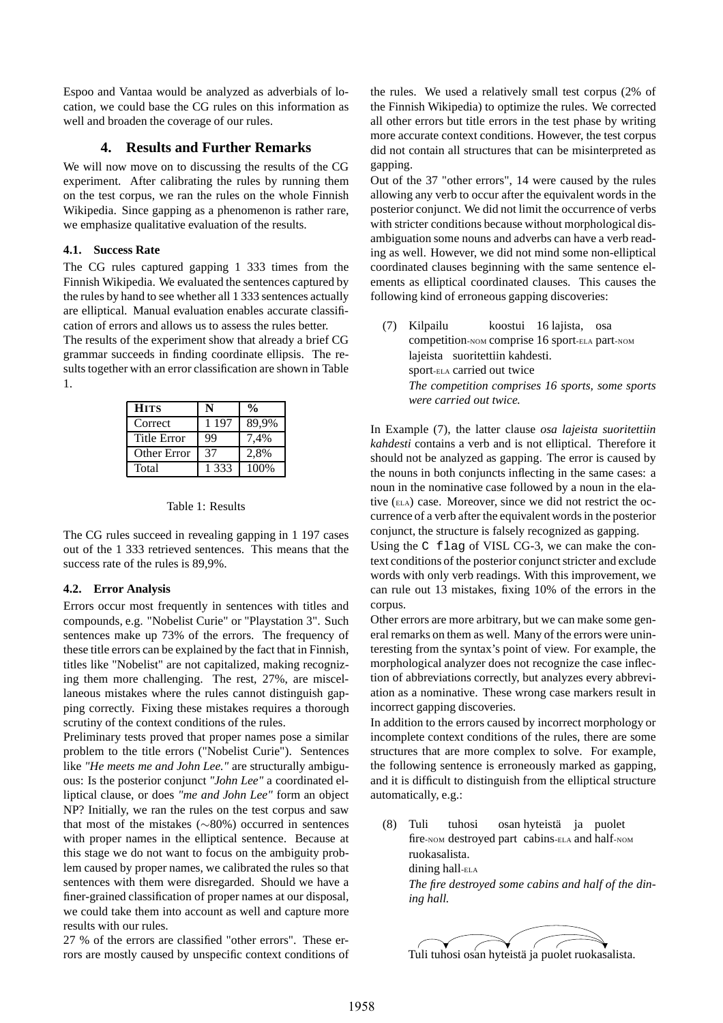Espoo and Vantaa would be analyzed as adverbials of location, we could base the CG rules on this information as well and broaden the coverage of our rules.

### **4. Results and Further Remarks**

We will now move on to discussing the results of the CG experiment. After calibrating the rules by running them on the test corpus, we ran the rules on the whole Finnish Wikipedia. Since gapping as a phenomenon is rather rare, we emphasize qualitative evaluation of the results.

#### **4.1. Success Rate**

The CG rules captured gapping 1 333 times from the Finnish Wikipedia. We evaluated the sentences captured by the rules by hand to see whether all 1 333 sentences actually are elliptical. Manual evaluation enables accurate classification of errors and allows us to assess the rules better.

The results of the experiment show that already a brief CG grammar succeeds in finding coordinate ellipsis. The results together with an error classification are shown in Table 1.

| <b>HITS</b> | N       | $\frac{0}{0}$ |
|-------------|---------|---------------|
| Correct     | 1 1 9 7 | 89.9%         |
| Title Error | 99      | 7.4%          |
| Other Error | 37      | 2,8%          |
| Total       | 1 3 3 3 | 100%          |

#### Table 1: Results

The CG rules succeed in revealing gapping in 1 197 cases out of the 1 333 retrieved sentences. This means that the success rate of the rules is 89,9%.

#### **4.2. Error Analysis**

Errors occur most frequently in sentences with titles and compounds, e.g. "Nobelist Curie" or "Playstation 3". Such sentences make up 73% of the errors. The frequency of these title errors can be explained by the fact that in Finnish, titles like "Nobelist" are not capitalized, making recognizing them more challenging. The rest, 27%, are miscellaneous mistakes where the rules cannot distinguish gapping correctly. Fixing these mistakes requires a thorough scrutiny of the context conditions of the rules.

Preliminary tests proved that proper names pose a similar problem to the title errors ("Nobelist Curie"). Sentences like *"He meets me and John Lee."* are structurally ambiguous: Is the posterior conjunct *"John Lee"* a coordinated elliptical clause, or does *"me and John Lee"* form an object NP? Initially, we ran the rules on the test corpus and saw that most of the mistakes (∼80%) occurred in sentences with proper names in the elliptical sentence. Because at this stage we do not want to focus on the ambiguity problem caused by proper names, we calibrated the rules so that sentences with them were disregarded. Should we have a finer-grained classification of proper names at our disposal, we could take them into account as well and capture more results with our rules.

27 % of the errors are classified "other errors". These errors are mostly caused by unspecific context conditions of the rules. We used a relatively small test corpus (2% of the Finnish Wikipedia) to optimize the rules. We corrected all other errors but title errors in the test phase by writing more accurate context conditions. However, the test corpus did not contain all structures that can be misinterpreted as gapping.

Out of the 37 "other errors", 14 were caused by the rules allowing any verb to occur after the equivalent words in the posterior conjunct. We did not limit the occurrence of verbs with stricter conditions because without morphological disambiguation some nouns and adverbs can have a verb reading as well. However, we did not mind some non-elliptical coordinated clauses beginning with the same sentence elements as elliptical coordinated clauses. This causes the following kind of erroneous gapping discoveries:

(7) Kilpailu competition-NOM comprise 16 sport-ELA part-NOM koostui 16 lajista, osa lajeista suoritettiin kahdesti. sport-ELA carried out twice *The competition comprises 16 sports, some sports were carried out twice.*

In Example (7), the latter clause *osa lajeista suoritettiin kahdesti* contains a verb and is not elliptical. Therefore it should not be analyzed as gapping. The error is caused by the nouns in both conjuncts inflecting in the same cases: a noun in the nominative case followed by a noun in the elative (ELA) case. Moreover, since we did not restrict the occurrence of a verb after the equivalent words in the posterior conjunct, the structure is falsely recognized as gapping.

Using the C flag of VISL CG-3, we can make the context conditions of the posterior conjunct stricter and exclude words with only verb readings. With this improvement, we can rule out 13 mistakes, fixing 10% of the errors in the corpus.

Other errors are more arbitrary, but we can make some general remarks on them as well. Many of the errors were uninteresting from the syntax's point of view. For example, the morphological analyzer does not recognize the case inflection of abbreviations correctly, but analyzes every abbreviation as a nominative. These wrong case markers result in incorrect gapping discoveries.

In addition to the errors caused by incorrect morphology or incomplete context conditions of the rules, there are some structures that are more complex to solve. For example, the following sentence is erroneously marked as gapping, and it is difficult to distinguish from the elliptical structure automatically, e.g.:

(8) Tuli fire-NOM destroyed part cabins-ELA and half-NOM tuhosi osan hyteistä ja puolet ruokasalista. dining hall-ELA *The fire destroyed some cabins and half of the dining hall.*

Tuli tuhosi osan hyteistä ja puolet ruokasalista.